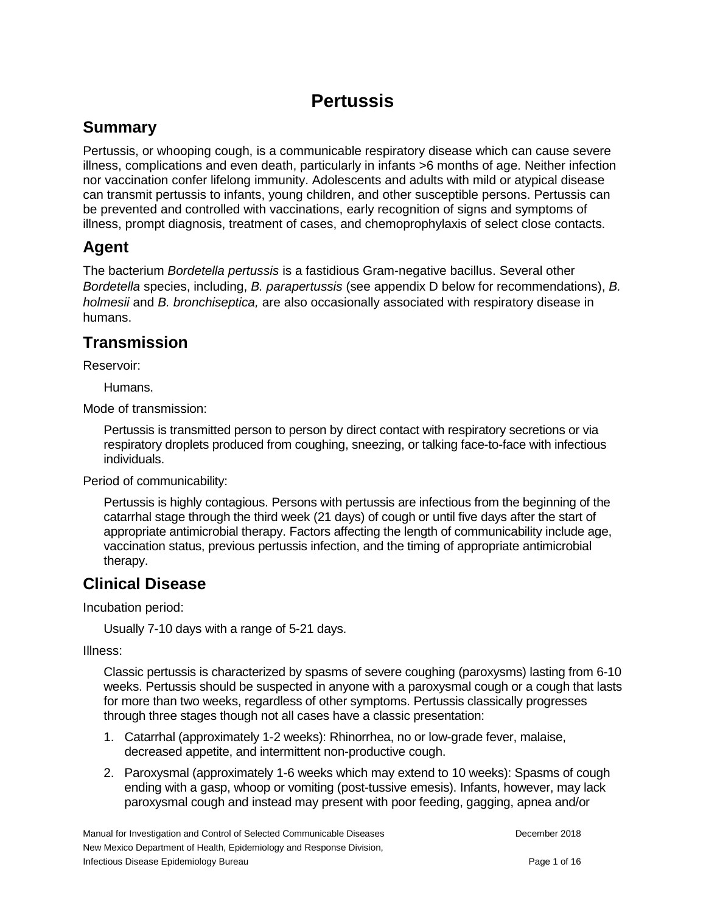# **Pertussis**

# **Summary**

Pertussis, or whooping cough, is a communicable respiratory disease which can cause severe illness, complications and even death, particularly in infants >6 months of age. Neither infection nor vaccination confer lifelong immunity. Adolescents and adults with mild or atypical disease can transmit pertussis to infants, young children, and other susceptible persons. Pertussis can be prevented and controlled with vaccinations, early recognition of signs and symptoms of illness, prompt diagnosis, treatment of cases, and chemoprophylaxis of select close contacts.

## **Agent**

The bacterium *Bordetella pertussis* is a fastidious Gram-negative bacillus. Several other *Bordetella* species, including, *B. parapertussis* (see appendix D below for recommendations), *B. holmesii* and *B. bronchiseptica,* are also occasionally associated with respiratory disease in humans.

## **Transmission**

Reservoir:

Humans.

Mode of transmission:

Pertussis is transmitted person to person by direct contact with respiratory secretions or via respiratory droplets produced from coughing, sneezing, or talking face-to-face with infectious individuals.

Period of communicability:

Pertussis is highly contagious. Persons with pertussis are infectious from the beginning of the catarrhal stage through the third week (21 days) of cough or until five days after the start of appropriate antimicrobial therapy. Factors affecting the length of communicability include age, vaccination status, previous pertussis infection, and the timing of appropriate antimicrobial therapy.

## **Clinical Disease**

Incubation period:

Usually 7-10 days with a range of 5-21 days.

Illness:

Classic pertussis is characterized by spasms of severe coughing (paroxysms) lasting from 6-10 weeks. Pertussis should be suspected in anyone with a paroxysmal cough or a cough that lasts for more than two weeks, regardless of other symptoms. Pertussis classically progresses through three stages though not all cases have a classic presentation:

- 1. Catarrhal (approximately 1-2 weeks): Rhinorrhea, no or low-grade fever, malaise, decreased appetite, and intermittent non-productive cough.
- 2. Paroxysmal (approximately 1-6 weeks which may extend to 10 weeks): Spasms of cough ending with a gasp, whoop or vomiting (post-tussive emesis). Infants, however, may lack paroxysmal cough and instead may present with poor feeding, gagging, apnea and/or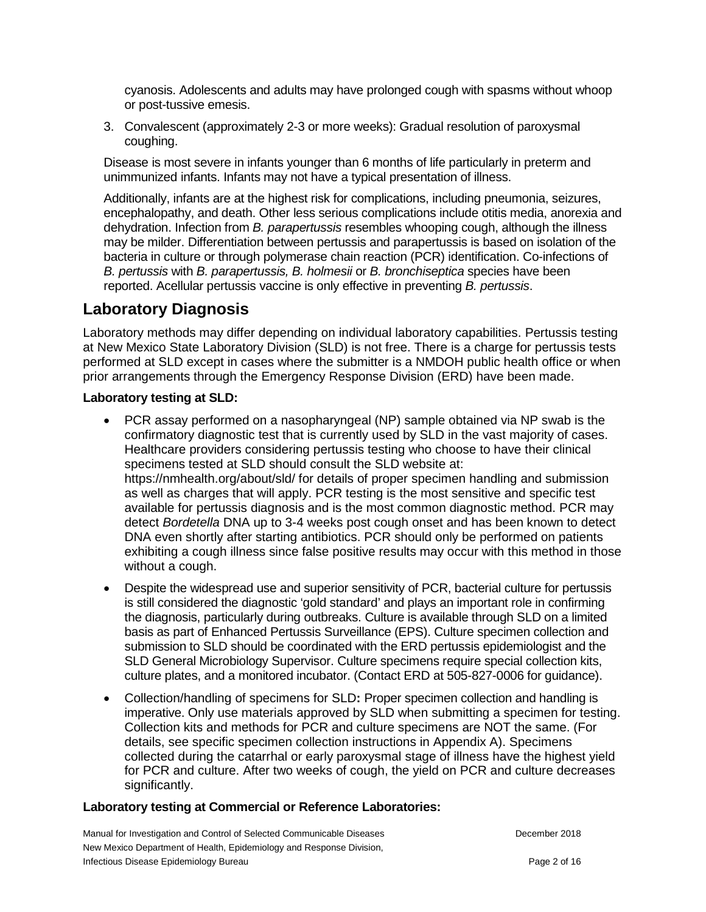cyanosis. Adolescents and adults may have prolonged cough with spasms without whoop or post-tussive emesis.

3. Convalescent (approximately 2-3 or more weeks): Gradual resolution of paroxysmal coughing.

Disease is most severe in infants younger than 6 months of life particularly in preterm and unimmunized infants. Infants may not have a typical presentation of illness.

Additionally, infants are at the highest risk for complications, including pneumonia, seizures, encephalopathy, and death. Other less serious complications include otitis media, anorexia and dehydration. Infection from *B. parapertussis* resembles whooping cough, although the illness may be milder. Differentiation between pertussis and parapertussis is based on isolation of the bacteria in culture or through polymerase chain reaction (PCR) identification. Co-infections of *B. pertussis* with *B. parapertussis, B. holmesii* or *B. bronchiseptica* species have been reported. Acellular pertussis vaccine is only effective in preventing *B. pertussis*.

# **Laboratory Diagnosis**

Laboratory methods may differ depending on individual laboratory capabilities. Pertussis testing at New Mexico State Laboratory Division (SLD) is not free. There is a charge for pertussis tests performed at SLD except in cases where the submitter is a NMDOH public health office or when prior arrangements through the Emergency Response Division (ERD) have been made.

### **Laboratory testing at SLD:**

- PCR assay performed on a nasopharyngeal (NP) sample obtained via NP swab is the confirmatory diagnostic test that is currently used by SLD in the vast majority of cases. Healthcare providers considering pertussis testing who choose to have their clinical specimens tested at SLD should consult the SLD website at: https://nmhealth.org/about/sld/ for details of proper specimen handling and submission as well as charges that will apply. PCR testing is the most sensitive and specific test available for pertussis diagnosis and is the most common diagnostic method. PCR may detect *Bordetella* DNA up to 3-4 weeks post cough onset and has been known to detect DNA even shortly after starting antibiotics. PCR should only be performed on patients exhibiting a cough illness since false positive results may occur with this method in those without a cough.
- Despite the widespread use and superior sensitivity of PCR, bacterial culture for pertussis is still considered the diagnostic 'gold standard' and plays an important role in confirming the diagnosis, particularly during outbreaks. Culture is available through SLD on a limited basis as part of Enhanced Pertussis Surveillance (EPS). Culture specimen collection and submission to SLD should be coordinated with the ERD pertussis epidemiologist and the SLD General Microbiology Supervisor. Culture specimens require special collection kits, culture plates, and a monitored incubator. (Contact ERD at 505-827-0006 for guidance).
- Collection/handling of specimens for SLD**:** Proper specimen collection and handling is imperative. Only use materials approved by SLD when submitting a specimen for testing. Collection kits and methods for PCR and culture specimens are NOT the same. (For details, see specific specimen collection instructions in Appendix A). Specimens collected during the catarrhal or early paroxysmal stage of illness have the highest yield for PCR and culture. After two weeks of cough, the yield on PCR and culture decreases significantly.

### **Laboratory testing at Commercial or Reference Laboratories:**

Manual for Investigation and Control of Selected Communicable Diseases December 2018 New Mexico Department of Health, Epidemiology and Response Division, Infectious Disease Epidemiology Bureau **Page 2 of 16** and 2 of 16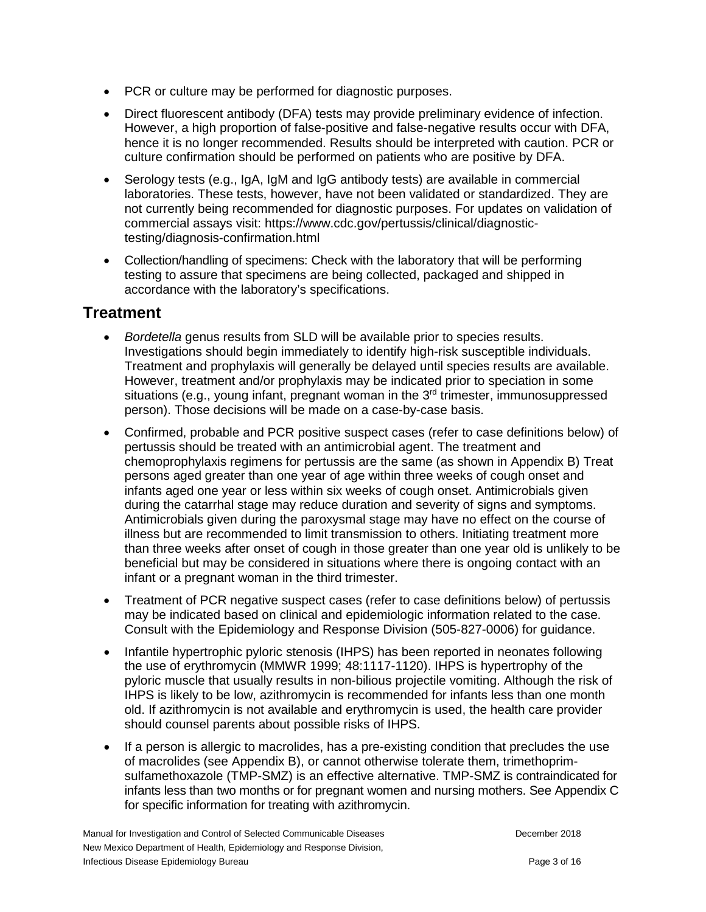- PCR or culture may be performed for diagnostic purposes.
- Direct fluorescent antibody (DFA) tests may provide preliminary evidence of infection. However, a high proportion of false-positive and false-negative results occur with DFA, hence it is no longer recommended. Results should be interpreted with caution. PCR or culture confirmation should be performed on patients who are positive by DFA.
- Serology tests (e.g., IgA, IgM and IgG antibody tests) are available in commercial laboratories. These tests, however, have not been validated or standardized. They are not currently being recommended for diagnostic purposes. For updates on validation of commercial assays visit: https://www.cdc.gov/pertussis/clinical/diagnostictesting/diagnosis-confirmation.html
- Collection/handling of specimens: Check with the laboratory that will be performing testing to assure that specimens are being collected, packaged and shipped in accordance with the laboratory's specifications.

## **Treatment**

- *Bordetella* genus results from SLD will be available prior to species results. Investigations should begin immediately to identify high-risk susceptible individuals. Treatment and prophylaxis will generally be delayed until species results are available. However, treatment and/or prophylaxis may be indicated prior to speciation in some situations (e.g., young infant, pregnant woman in the  $3<sup>rd</sup>$  trimester, immunosuppressed person). Those decisions will be made on a case-by-case basis.
- Confirmed, probable and PCR positive suspect cases (refer to case definitions below) of pertussis should be treated with an antimicrobial agent. The treatment and chemoprophylaxis regimens for pertussis are the same (as shown in Appendix B) Treat persons aged greater than one year of age within three weeks of cough onset and infants aged one year or less within six weeks of cough onset. Antimicrobials given during the catarrhal stage may reduce duration and severity of signs and symptoms. Antimicrobials given during the paroxysmal stage may have no effect on the course of illness but are recommended to limit transmission to others. Initiating treatment more than three weeks after onset of cough in those greater than one year old is unlikely to be beneficial but may be considered in situations where there is ongoing contact with an infant or a pregnant woman in the third trimester.
- Treatment of PCR negative suspect cases (refer to case definitions below) of pertussis may be indicated based on clinical and epidemiologic information related to the case. Consult with the Epidemiology and Response Division (505-827-0006) for guidance.
- Infantile hypertrophic pyloric stenosis (IHPS) has been reported in neonates following the use of erythromycin (MMWR 1999; 48:1117-1120). IHPS is hypertrophy of the pyloric muscle that usually results in non-bilious projectile vomiting. Although the risk of IHPS is likely to be low, azithromycin is recommended for infants less than one month old. If azithromycin is not available and erythromycin is used, the health care provider should counsel parents about possible risks of IHPS.
- If a person is allergic to macrolides, has a pre-existing condition that precludes the use of macrolides (see Appendix B), or cannot otherwise tolerate them, trimethoprimsulfamethoxazole (TMP-SMZ) is an effective alternative. TMP-SMZ is contraindicated for infants less than two months or for pregnant women and nursing mothers. See Appendix C for specific information for treating with azithromycin.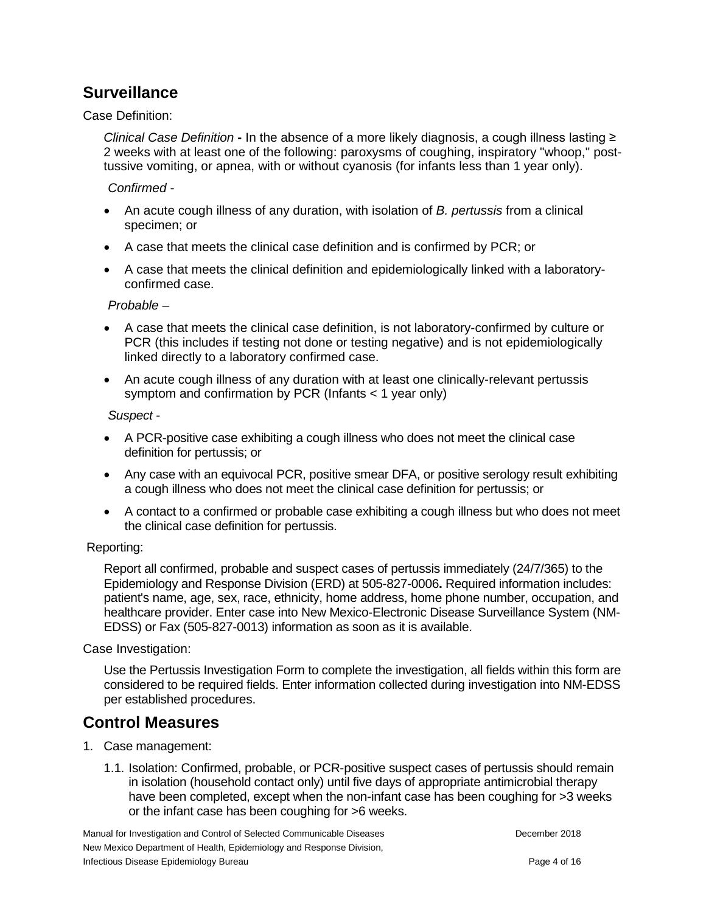## **Surveillance**

Case Definition:

*Clinical Case Definition* **-** In the absence of a more likely diagnosis, a cough illness lasting ≥ 2 weeks with at least one of the following: paroxysms of coughing, inspiratory "whoop," posttussive vomiting, or apnea, with or without cyanosis (for infants less than 1 year only).

*Confirmed -*

- An acute cough illness of any duration, with isolation of *B. pertussis* from a clinical specimen; or
- A case that meets the clinical case definition and is confirmed by PCR; or
- A case that meets the clinical definition and epidemiologically linked with a laboratoryconfirmed case.

*Probable –*

- A case that meets the clinical case definition, is not laboratory-confirmed by culture or PCR (this includes if testing not done or testing negative) and is not epidemiologically linked directly to a laboratory confirmed case.
- An acute cough illness of any duration with at least one clinically-relevant pertussis symptom and confirmation by PCR (Infants < 1 year only)

*Suspect -*

- A PCR-positive case exhibiting a cough illness who does not meet the clinical case definition for pertussis; or
- Any case with an equivocal PCR, positive smear DFA, or positive serology result exhibiting a cough illness who does not meet the clinical case definition for pertussis; or
- A contact to a confirmed or probable case exhibiting a cough illness but who does not meet the clinical case definition for pertussis.

Reporting:

Report all confirmed, probable and suspect cases of pertussis immediately (24/7/365) to the Epidemiology and Response Division (ERD) at 505-827-0006**.** Required information includes: patient's name, age, sex, race, ethnicity, home address, home phone number, occupation, and healthcare provider. Enter case into New Mexico-Electronic Disease Surveillance System (NM-EDSS) or Fax (505-827-0013) information as soon as it is available.

Case Investigation:

Use the Pertussis Investigation Form to complete the investigation, all fields within this form are considered to be required fields. Enter information collected during investigation into NM-EDSS per established procedures.

## **Control Measures**

- 1. Case management:
	- 1.1. Isolation: Confirmed, probable, or PCR-positive suspect cases of pertussis should remain in isolation (household contact only) until five days of appropriate antimicrobial therapy have been completed, except when the non-infant case has been coughing for >3 weeks or the infant case has been coughing for >6 weeks.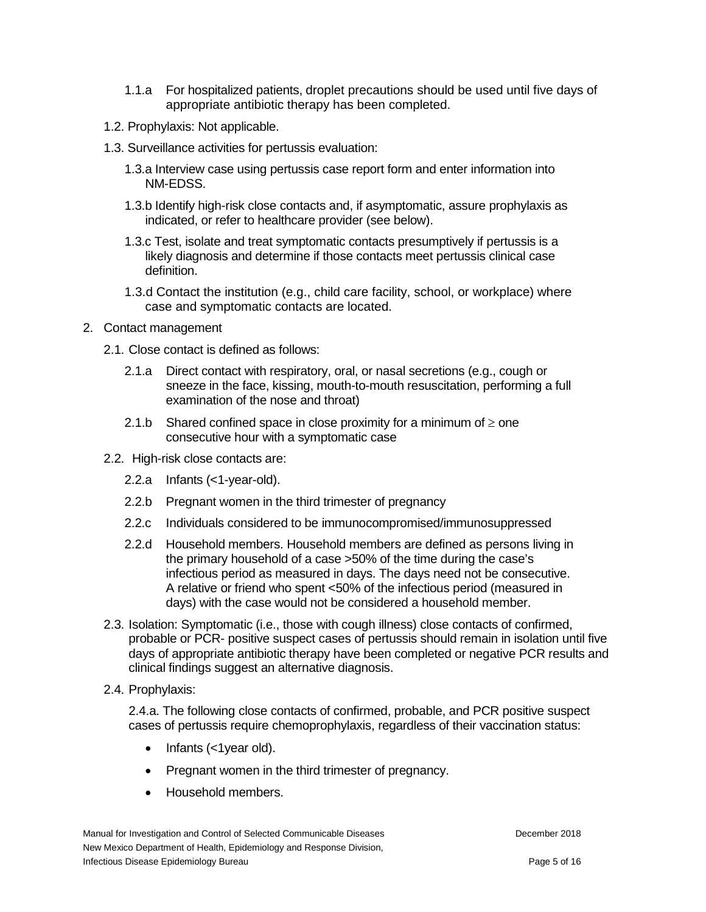- 1.1.a For hospitalized patients, droplet precautions should be used until five days of appropriate antibiotic therapy has been completed.
- 1.2. Prophylaxis: Not applicable.
- 1.3. Surveillance activities for pertussis evaluation:
	- 1.3.a Interview case using pertussis case report form and enter information into NM-EDSS.
	- 1.3.b Identify high-risk close contacts and, if asymptomatic, assure prophylaxis as indicated, or refer to healthcare provider (see below).
	- 1.3.c Test, isolate and treat symptomatic contacts presumptively if pertussis is a likely diagnosis and determine if those contacts meet pertussis clinical case definition.
	- 1.3.d Contact the institution (e.g., child care facility, school, or workplace) where case and symptomatic contacts are located.
- 2. Contact management
	- 2.1. Close contact is defined as follows:
		- 2.1.a Direct contact with respiratory, oral, or nasal secretions (e.g., cough or sneeze in the face, kissing, mouth-to-mouth resuscitation, performing a full examination of the nose and throat)
		- 2.1.b Shared confined space in close proximity for a minimum of  $\geq$  one consecutive hour with a symptomatic case
	- 2.2. High-risk close contacts are:
		- 2.2.a Infants (<1-year-old).
		- 2.2.b Pregnant women in the third trimester of pregnancy
		- 2.2.c Individuals considered to be immunocompromised/immunosuppressed
		- 2.2.d Household members. Household members are defined as persons living in the primary household of a case >50% of the time during the case's infectious period as measured in days. The days need not be consecutive. A relative or friend who spent <50% of the infectious period (measured in days) with the case would not be considered a household member.
	- 2.3. Isolation: Symptomatic (i.e., those with cough illness) close contacts of confirmed, probable or PCR- positive suspect cases of pertussis should remain in isolation until five days of appropriate antibiotic therapy have been completed or negative PCR results and clinical findings suggest an alternative diagnosis.
	- 2.4. Prophylaxis:

2.4.a. The following close contacts of confirmed, probable, and PCR positive suspect cases of pertussis require chemoprophylaxis, regardless of their vaccination status:

- Infants (<1year old).
- Pregnant women in the third trimester of pregnancy.
- Household members.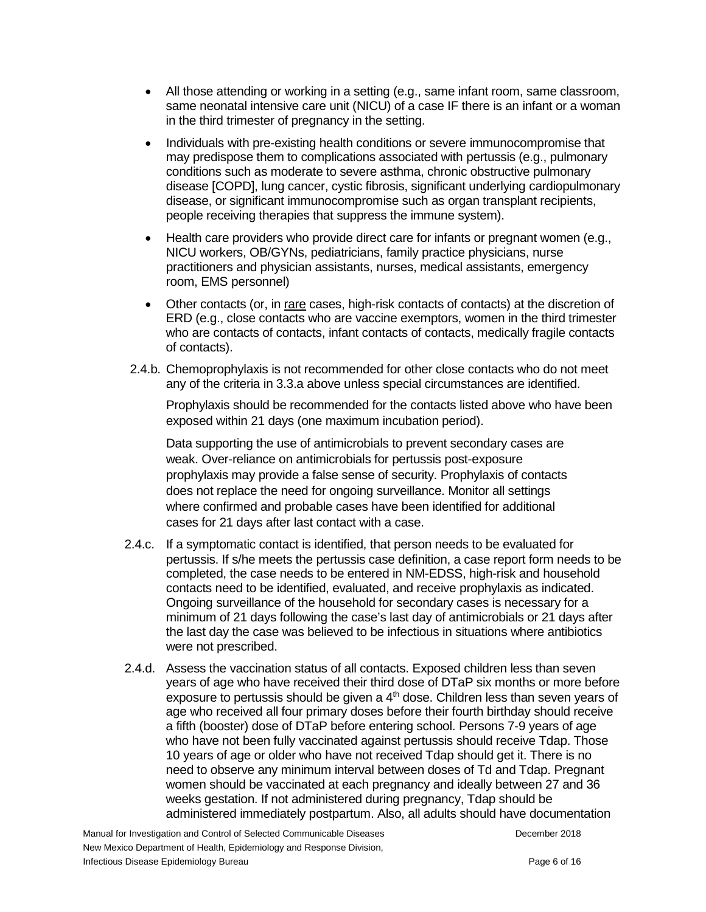- All those attending or working in a setting (e.g., same infant room, same classroom, same neonatal intensive care unit (NICU) of a case IF there is an infant or a woman in the third trimester of pregnancy in the setting.
- Individuals with pre-existing health conditions or severe immunocompromise that may predispose them to complications associated with pertussis (e.g., pulmonary conditions such as moderate to severe asthma, chronic obstructive pulmonary disease [COPD], lung cancer, cystic fibrosis, significant underlying cardiopulmonary disease, or significant immunocompromise such as organ transplant recipients, people receiving therapies that suppress the immune system).
- Health care providers who provide direct care for infants or pregnant women (e.g., NICU workers, OB/GYNs, pediatricians, family practice physicians, nurse practitioners and physician assistants, nurses, medical assistants, emergency room, EMS personnel)
- Other contacts (or, in rare cases, high-risk contacts of contacts) at the discretion of ERD (e.g., close contacts who are vaccine exemptors, women in the third trimester who are contacts of contacts, infant contacts of contacts, medically fragile contacts of contacts).
- 2.4.b. Chemoprophylaxis is not recommended for other close contacts who do not meet any of the criteria in 3.3.a above unless special circumstances are identified.

Prophylaxis should be recommended for the contacts listed above who have been exposed within 21 days (one maximum incubation period).

Data supporting the use of antimicrobials to prevent secondary cases are weak. Over-reliance on antimicrobials for pertussis post-exposure prophylaxis may provide a false sense of security. Prophylaxis of contacts does not replace the need for ongoing surveillance. Monitor all settings where confirmed and probable cases have been identified for additional cases for 21 days after last contact with a case.

- 2.4.c. If a symptomatic contact is identified, that person needs to be evaluated for pertussis. If s/he meets the pertussis case definition, a case report form needs to be completed, the case needs to be entered in NM-EDSS, high-risk and household contacts need to be identified, evaluated, and receive prophylaxis as indicated. Ongoing surveillance of the household for secondary cases is necessary for a minimum of 21 days following the case's last day of antimicrobials or 21 days after the last day the case was believed to be infectious in situations where antibiotics were not prescribed.
- 2.4.d. Assess the vaccination status of all contacts. Exposed children less than seven years of age who have received their third dose of DTaP six months or more before exposure to pertussis should be given a 4<sup>th</sup> dose. Children less than seven years of age who received all four primary doses before their fourth birthday should receive a fifth (booster) dose of DTaP before entering school. Persons 7-9 years of age who have not been fully vaccinated against pertussis should receive Tdap. Those 10 years of age or older who have not received Tdap should get it. There is no need to observe any minimum interval between doses of Td and Tdap. Pregnant women should be vaccinated at each pregnancy and ideally between 27 and 36 weeks gestation. If not administered during pregnancy, Tdap should be administered immediately postpartum. Also, all adults should have documentation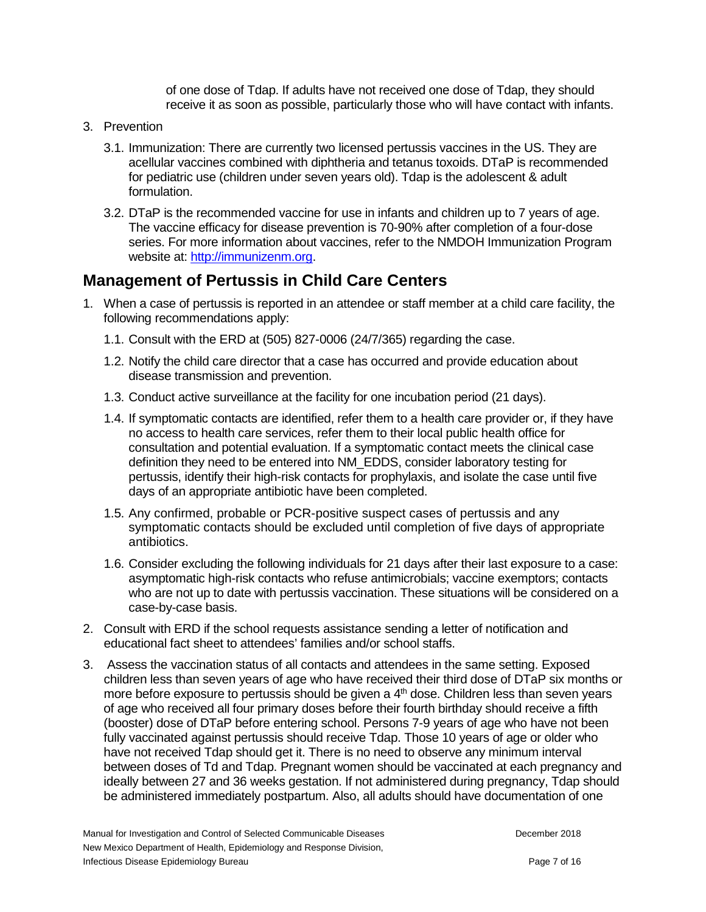of one dose of Tdap. If adults have not received one dose of Tdap, they should receive it as soon as possible, particularly those who will have contact with infants.

- 3. Prevention
	- 3.1. Immunization: There are currently two licensed pertussis vaccines in the US. They are acellular vaccines combined with diphtheria and tetanus toxoids. DTaP is recommended for pediatric use (children under seven years old). Tdap is the adolescent & adult formulation.
	- 3.2. DTaP is the recommended vaccine for use in infants and children up to 7 years of age. The vaccine efficacy for disease prevention is 70-90% after completion of a four-dose series. For more information about vaccines, refer to the NMDOH Immunization Program website at: [http://immunizenm.org.](http://immunizenm.org/)

## **Management of Pertussis in Child Care Centers**

- 1. When a case of pertussis is reported in an attendee or staff member at a child care facility, the following recommendations apply:
	- 1.1. Consult with the ERD at (505) 827-0006 (24/7/365) regarding the case.
	- 1.2. Notify the child care director that a case has occurred and provide education about disease transmission and prevention.
	- 1.3. Conduct active surveillance at the facility for one incubation period (21 days).
	- 1.4. If symptomatic contacts are identified, refer them to a health care provider or, if they have no access to health care services, refer them to their local public health office for consultation and potential evaluation. If a symptomatic contact meets the clinical case definition they need to be entered into NM\_EDDS, consider laboratory testing for pertussis, identify their high-risk contacts for prophylaxis, and isolate the case until five days of an appropriate antibiotic have been completed.
	- 1.5. Any confirmed, probable or PCR-positive suspect cases of pertussis and any symptomatic contacts should be excluded until completion of five days of appropriate antibiotics.
	- 1.6. Consider excluding the following individuals for 21 days after their last exposure to a case: asymptomatic high-risk contacts who refuse antimicrobials; vaccine exemptors; contacts who are not up to date with pertussis vaccination. These situations will be considered on a case-by-case basis.
- 2. Consult with ERD if the school requests assistance sending a letter of notification and educational fact sheet to attendees' families and/or school staffs.
- 3. Assess the vaccination status of all contacts and attendees in the same setting. Exposed children less than seven years of age who have received their third dose of DTaP six months or more before exposure to pertussis should be given a 4<sup>th</sup> dose. Children less than seven years of age who received all four primary doses before their fourth birthday should receive a fifth (booster) dose of DTaP before entering school. Persons 7-9 years of age who have not been fully vaccinated against pertussis should receive Tdap. Those 10 years of age or older who have not received Tdap should get it. There is no need to observe any minimum interval between doses of Td and Tdap. Pregnant women should be vaccinated at each pregnancy and ideally between 27 and 36 weeks gestation. If not administered during pregnancy, Tdap should be administered immediately postpartum. Also, all adults should have documentation of one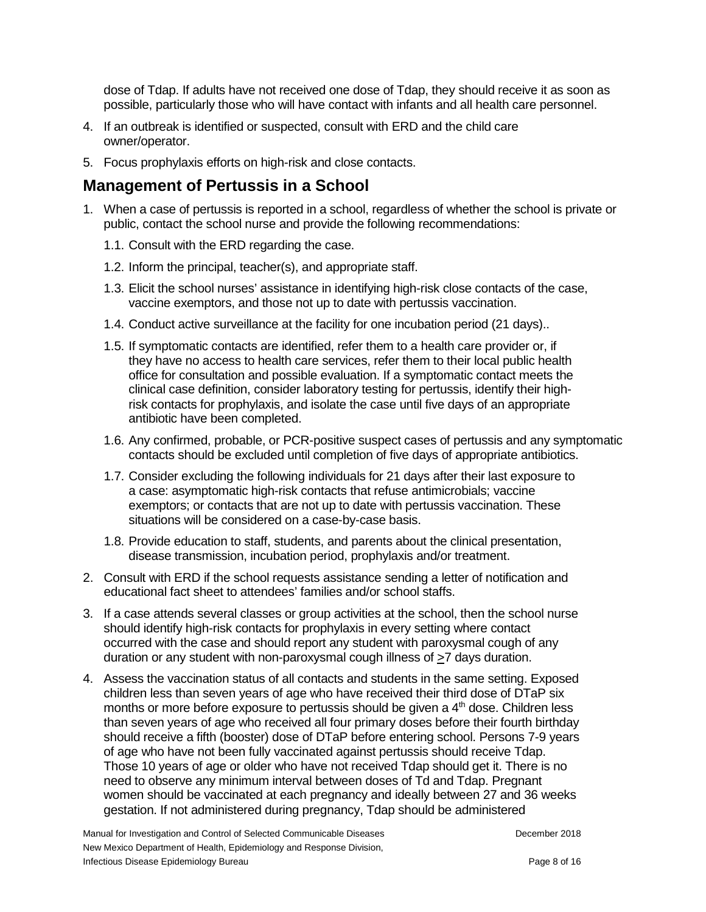dose of Tdap. If adults have not received one dose of Tdap, they should receive it as soon as possible, particularly those who will have contact with infants and all health care personnel.

- 4. If an outbreak is identified or suspected, consult with ERD and the child care owner/operator.
- 5. Focus prophylaxis efforts on high-risk and close contacts.

## **Management of Pertussis in a School**

- 1. When a case of pertussis is reported in a school, regardless of whether the school is private or public, contact the school nurse and provide the following recommendations:
	- 1.1. Consult with the ERD regarding the case.
	- 1.2. Inform the principal, teacher(s), and appropriate staff.
	- 1.3. Elicit the school nurses' assistance in identifying high-risk close contacts of the case, vaccine exemptors, and those not up to date with pertussis vaccination.
	- 1.4. Conduct active surveillance at the facility for one incubation period (21 days)..
	- 1.5. If symptomatic contacts are identified, refer them to a health care provider or, if they have no access to health care services, refer them to their local public health office for consultation and possible evaluation. If a symptomatic contact meets the clinical case definition, consider laboratory testing for pertussis, identify their highrisk contacts for prophylaxis, and isolate the case until five days of an appropriate antibiotic have been completed.
	- 1.6. Any confirmed, probable, or PCR-positive suspect cases of pertussis and any symptomatic contacts should be excluded until completion of five days of appropriate antibiotics.
	- 1.7. Consider excluding the following individuals for 21 days after their last exposure to a case: asymptomatic high-risk contacts that refuse antimicrobials; vaccine exemptors; or contacts that are not up to date with pertussis vaccination. These situations will be considered on a case-by-case basis.
	- 1.8. Provide education to staff, students, and parents about the clinical presentation, disease transmission, incubation period, prophylaxis and/or treatment.
- 2. Consult with ERD if the school requests assistance sending a letter of notification and educational fact sheet to attendees' families and/or school staffs.
- 3. If a case attends several classes or group activities at the school, then the school nurse should identify high-risk contacts for prophylaxis in every setting where contact occurred with the case and should report any student with paroxysmal cough of any duration or any student with non-paroxysmal cough illness of  $\geq 7$  days duration.
- 4. Assess the vaccination status of all contacts and students in the same setting. Exposed children less than seven years of age who have received their third dose of DTaP six months or more before exposure to pertussis should be given a  $4<sup>th</sup>$  dose. Children less than seven years of age who received all four primary doses before their fourth birthday should receive a fifth (booster) dose of DTaP before entering school. Persons 7-9 years of age who have not been fully vaccinated against pertussis should receive Tdap. Those 10 years of age or older who have not received Tdap should get it. There is no need to observe any minimum interval between doses of Td and Tdap. Pregnant women should be vaccinated at each pregnancy and ideally between 27 and 36 weeks gestation. If not administered during pregnancy, Tdap should be administered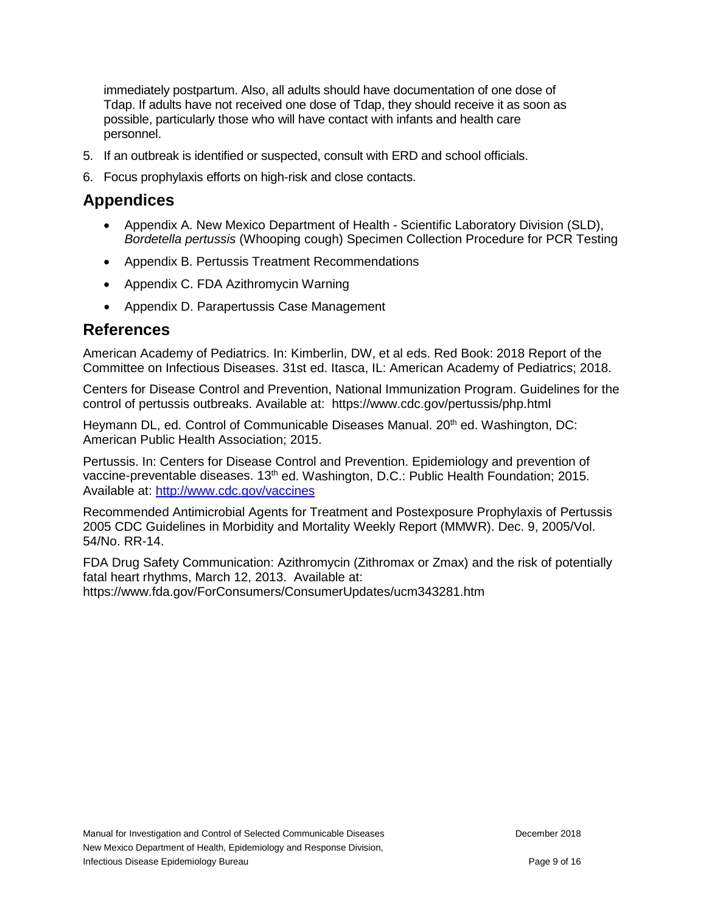immediately postpartum. Also, all adults should have documentation of one dose of Tdap. If adults have not received one dose of Tdap, they should receive it as soon as possible, particularly those who will have contact with infants and health care personnel.

- 5. If an outbreak is identified or suspected, consult with ERD and school officials.
- 6. Focus prophylaxis efforts on high-risk and close contacts.

## **Appendices**

- Appendix A. New Mexico Department of Health Scientific Laboratory Division (SLD), *Bordetella pertussis* (Whooping cough) Specimen Collection Procedure for PCR Testing
- Appendix B. Pertussis Treatment Recommendations
- Appendix C. FDA Azithromycin Warning
- Appendix D. Parapertussis Case Management

## **References**

American Academy of Pediatrics. In: Kimberlin, DW, et al eds. Red Book: 2018 Report of the Committee on Infectious Diseases. 31st ed. Itasca, IL: American Academy of Pediatrics; 2018.

Centers for Disease Control and Prevention, National Immunization Program. Guidelines for the control of pertussis outbreaks. Available at: https://www.cdc.gov/pertussis/php.html

Heymann DL, ed. Control of Communicable Diseases Manual. 20<sup>th</sup> ed. Washington, DC: American Public Health Association; 2015.

Pertussis. In: Centers for Disease Control and Prevention. Epidemiology and prevention of vaccine-preventable diseases. 13<sup>th</sup> ed. Washington, D.C.: Public Health Foundation; 2015. Available at:<http://www.cdc.gov/vaccines>

Recommended Antimicrobial Agents for Treatment and Postexposure Prophylaxis of Pertussis 2005 CDC Guidelines in Morbidity and Mortality Weekly Report (MMWR). Dec. 9, 2005/Vol. 54/No. RR-14.

FDA Drug Safety Communication: Azithromycin (Zithromax or Zmax) and the risk of potentially fatal heart rhythms, March 12, 2013. Available at: https://www.fda.gov/ForConsumers/ConsumerUpdates/ucm343281.htm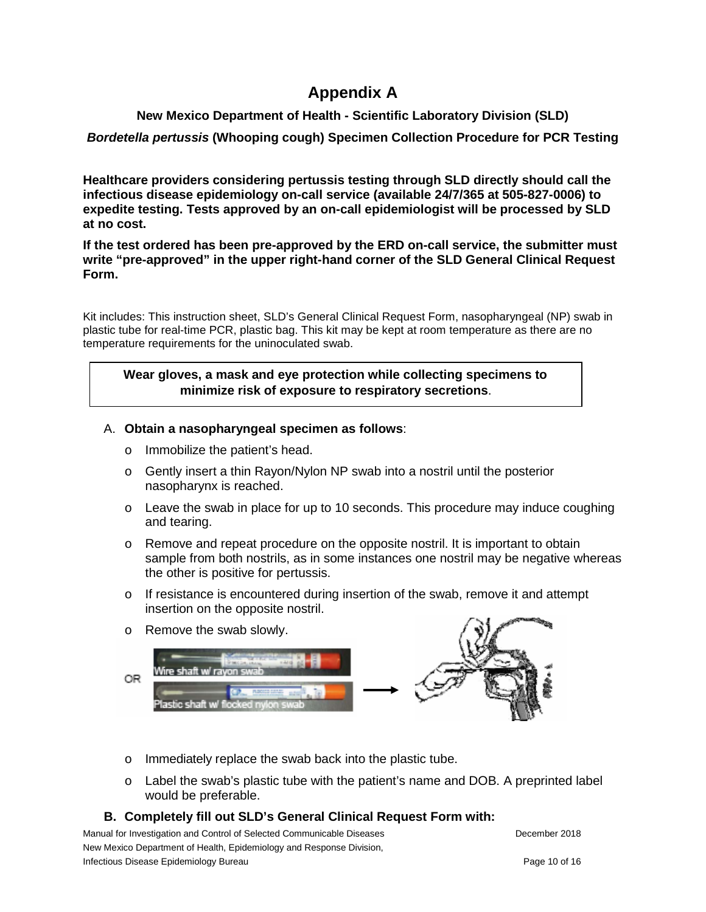# **Appendix A**

### **New Mexico Department of Health - Scientific Laboratory Division (SLD)**

### *Bordetella pertussis* **(Whooping cough) Specimen Collection Procedure for PCR Testing**

**Healthcare providers considering pertussis testing through SLD directly should call the infectious disease epidemiology on-call service (available 24/7/365 at 505-827-0006) to expedite testing. Tests approved by an on-call epidemiologist will be processed by SLD at no cost.** 

**If the test ordered has been pre-approved by the ERD on-call service, the submitter must write "pre-approved" in the upper right-hand corner of the SLD General Clinical Request Form.**

Kit includes: This instruction sheet, SLD's General Clinical Request Form, nasopharyngeal (NP) swab in plastic tube for real-time PCR, plastic bag. This kit may be kept at room temperature as there are no temperature requirements for the uninoculated swab.

### **Wear gloves, a mask and eye protection while collecting specimens to minimize risk of exposure to respiratory secretions**.

### A. **Obtain a nasopharyngeal specimen as follows**:

- o Immobilize the patient's head.
- $\circ$  Gently insert a thin Rayon/Nylon NP swab into a nostril until the posterior nasopharynx is reached.
- $\circ$  Leave the swab in place for up to 10 seconds. This procedure may induce coughing and tearing.
- $\circ$  Remove and repeat procedure on the opposite nostril. It is important to obtain sample from both nostrils, as in some instances one nostril may be negative whereas the other is positive for pertussis.
- $\circ$  If resistance is encountered during insertion of the swab, remove it and attempt insertion on the opposite nostril.



- o Immediately replace the swab back into the plastic tube.
- o Label the swab's plastic tube with the patient's name and DOB. A preprinted label would be preferable.

### **B. Completely fill out SLD's General Clinical Request Form with:**

Manual for Investigation and Control of Selected Communicable Diseases **December 2018** December 2018 New Mexico Department of Health, Epidemiology and Response Division, Infectious Disease Epidemiology Bureau **Page 10** of 16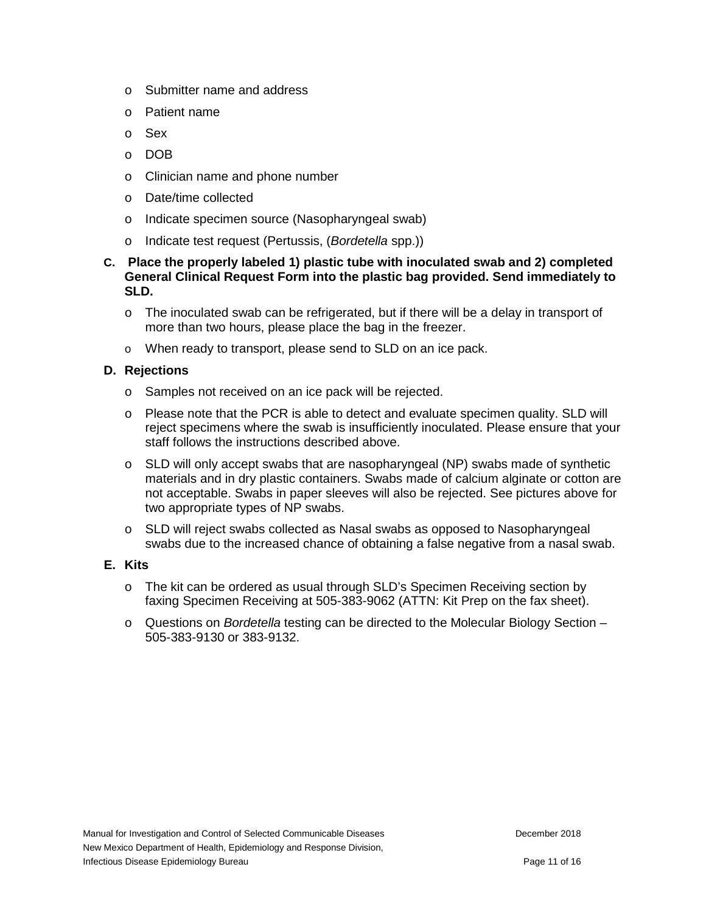- o Submitter name and address
- o Patient name
- o Sex
- o DOB
- o Clinician name and phone number
- o Date/time collected
- o Indicate specimen source (Nasopharyngeal swab)
- o Indicate test request (Pertussis, (*Bordetella* spp.))
- **C. Place the properly labeled 1) plastic tube with inoculated swab and 2) completed General Clinical Request Form into the plastic bag provided. Send immediately to SLD.**
	- $\circ$  The inoculated swab can be refrigerated, but if there will be a delay in transport of more than two hours, please place the bag in the freezer.
	- o When ready to transport, please send to SLD on an ice pack.

### **D. Rejections**

- o Samples not received on an ice pack will be rejected.
- o Please note that the PCR is able to detect and evaluate specimen quality. SLD will reject specimens where the swab is insufficiently inoculated. Please ensure that your staff follows the instructions described above.
- $\circ$  SLD will only accept swabs that are nasopharyngeal (NP) swabs made of synthetic materials and in dry plastic containers. Swabs made of calcium alginate or cotton are not acceptable. Swabs in paper sleeves will also be rejected. See pictures above for two appropriate types of NP swabs.
- o SLD will reject swabs collected as Nasal swabs as opposed to Nasopharyngeal swabs due to the increased chance of obtaining a false negative from a nasal swab.

#### **E. Kits**

- o The kit can be ordered as usual through SLD's Specimen Receiving section by faxing Specimen Receiving at 505-383-9062 (ATTN: Kit Prep on the fax sheet).
- o Questions on *Bordetella* testing can be directed to the Molecular Biology Section 505-383-9130 or 383-9132.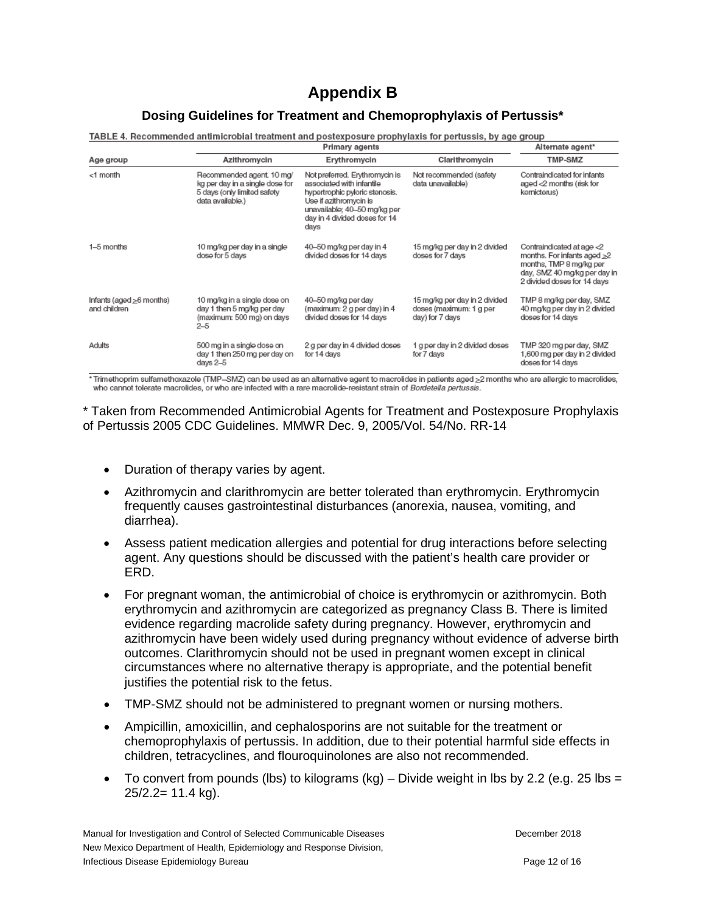# **Appendix B**

#### **Dosing Guidelines for Treatment and Chemoprophylaxis of Pertussis\***

TABLE 4. Recommended antimicrobial treatment and postexposure prophylaxis for pertussis, by age group

|                                                | <b>Primary agents</b>                                                                                           |                                                                                                                                                                                                  |                                                                             | Alternate agent*                                                                                                                                         |
|------------------------------------------------|-----------------------------------------------------------------------------------------------------------------|--------------------------------------------------------------------------------------------------------------------------------------------------------------------------------------------------|-----------------------------------------------------------------------------|----------------------------------------------------------------------------------------------------------------------------------------------------------|
| Age group                                      | Azithromycin                                                                                                    | Erythromycin                                                                                                                                                                                     | Clarithromycin                                                              | <b>TMP-SMZ</b>                                                                                                                                           |
| <1 month                                       | Recommended agent, 10 mg/<br>kg per day in a single dose for<br>5 days (only limited safety<br>data available.) | Not preferred. Erythromycin is<br>associated with infantile<br>hypertrophic pyloric stenosis.<br>Use if azithromycin is<br>unavailable; 40-50 mg/kg per<br>day in 4 divided doses for 14<br>days | Not recommended (safety<br>data unavailable)                                | Contraindicated for infants<br>aged <2 months (risk for<br>kernicterus)                                                                                  |
| 1-5 months                                     | 10 mg/kg per day in a single<br>dose for 5 days                                                                 | 40-50 mg/kg per day in 4<br>divided doses for 14 days                                                                                                                                            | 15 mg/kg per day in 2 divided<br>doses for 7 days                           | Contraindicated at age <2<br>months. For infants aged $\geq 2$<br>months, TMP 8 mg/kg per<br>day, SMZ 40 mg/kg per day in<br>2 divided doses for 14 days |
| Infants (aged $\geq$ 6 months)<br>and children | 10 mg/kg in a single dose on<br>day 1 then 5 mg/kg per day<br>(maximum: 500 mg) on days<br>$^{2-5}$             | 40-50 mg/kg per day<br>(maximum: 2 g per day) in 4<br>divided doses for 14 days                                                                                                                  | 15 mg/kg per day in 2 divided<br>doses (maximum: 1 g per<br>day) for 7 days | TMP 8 mg/kg per day, SMZ<br>40 mg/kg per day in 2 divided<br>doses for 14 days                                                                           |
| Adults                                         | 500 mg in a single dose on<br>day 1 then 250 mg per day on<br>days 2-5                                          | 2 g per day in 4 divided doses<br>for 14 days                                                                                                                                                    | 1 g per day in 2 divided doses<br>for 7 days                                | TMP 320 mg per day, SMZ<br>1,600 mg per day in 2 divided<br>doses for 14 days                                                                            |

\* Trimethoprim sulfamethoxazole (TMP–SMZ) can be used as an alternative agent to macrolides in patients aged >2 months who are allergic to macrolides, who cannot tolerate macrolides, or who are infected with a rare macrolide-resistant strain of Bordetella pertussis.

\* Taken from Recommended Antimicrobial Agents for Treatment and Postexposure Prophylaxis of Pertussis 2005 CDC Guidelines. MMWR Dec. 9, 2005/Vol. 54/No. RR-14

- Duration of therapy varies by agent.
- Azithromycin and clarithromycin are better tolerated than erythromycin. Erythromycin frequently causes gastrointestinal disturbances (anorexia, nausea, vomiting, and diarrhea).
- Assess patient medication allergies and potential for drug interactions before selecting agent. Any questions should be discussed with the patient's health care provider or ERD.
- For pregnant woman, the antimicrobial of choice is erythromycin or azithromycin. Both erythromycin and azithromycin are categorized as pregnancy Class B. There is limited evidence regarding macrolide safety during pregnancy. However, erythromycin and azithromycin have been widely used during pregnancy without evidence of adverse birth outcomes. Clarithromycin should not be used in pregnant women except in clinical circumstances where no alternative therapy is appropriate, and the potential benefit justifies the potential risk to the fetus.
- TMP-SMZ should not be administered to pregnant women or nursing mothers.
- Ampicillin, amoxicillin, and cephalosporins are not suitable for the treatment or chemoprophylaxis of pertussis. In addition, due to their potential harmful side effects in children, tetracyclines, and flouroquinolones are also not recommended.
- To convert from pounds (lbs) to kilograms (kg) Divide weight in lbs by 2.2 (e.g. 25 lbs = 25/2.2= 11.4 kg).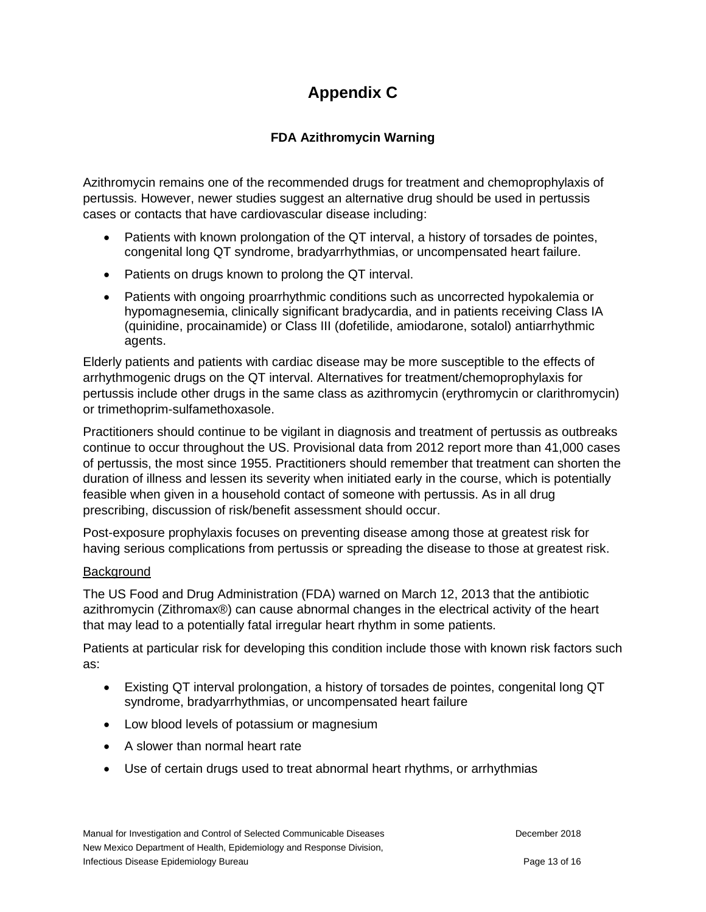# **Appendix C**

## **FDA Azithromycin Warning**

Azithromycin remains one of the recommended drugs for treatment and chemoprophylaxis of pertussis. However, newer studies suggest an alternative drug should be used in pertussis cases or contacts that have cardiovascular disease including:

- Patients with known prolongation of the QT interval, a history of torsades de pointes, congenital long QT syndrome, bradyarrhythmias, or uncompensated heart failure.
- Patients on drugs known to prolong the QT interval.
- Patients with ongoing proarrhythmic conditions such as uncorrected hypokalemia or hypomagnesemia, clinically significant bradycardia, and in patients receiving Class IA (quinidine, procainamide) or Class III (dofetilide, amiodarone, sotalol) antiarrhythmic agents.

Elderly patients and patients with cardiac disease may be more susceptible to the effects of arrhythmogenic drugs on the QT interval. Alternatives for treatment/chemoprophylaxis for pertussis include other drugs in the same class as azithromycin (erythromycin or clarithromycin) or trimethoprim-sulfamethoxasole.

Practitioners should continue to be vigilant in diagnosis and treatment of pertussis as outbreaks continue to occur throughout the US. Provisional data from 2012 report more than 41,000 cases of pertussis, the most since 1955. Practitioners should remember that treatment can shorten the duration of illness and lessen its severity when initiated early in the course, which is potentially feasible when given in a household contact of someone with pertussis. As in all drug prescribing, discussion of risk/benefit assessment should occur.

Post-exposure prophylaxis focuses on preventing disease among those at greatest risk for having serious complications from pertussis or spreading the disease to those at greatest risk.

### **Background**

The US Food and Drug Administration (FDA) warned on March 12, 2013 that the antibiotic azithromycin (Zithromax®) can cause abnormal changes in the electrical activity of the heart that may lead to a potentially fatal irregular heart rhythm in some patients.

Patients at particular risk for developing this condition include those with known risk factors such as:

- Existing QT interval prolongation, a history of torsades de pointes, congenital long QT syndrome, bradyarrhythmias, or uncompensated heart failure
- Low blood levels of potassium or magnesium
- A slower than normal heart rate
- Use of certain drugs used to treat abnormal heart rhythms, or arrhythmias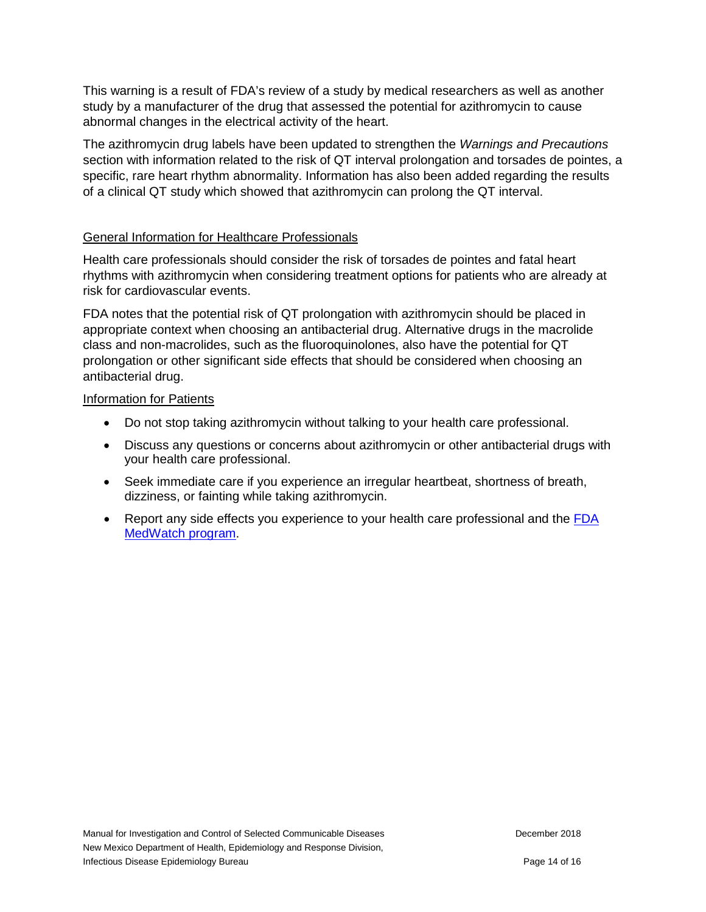This warning is a result of FDA's review of a study by medical researchers as well as another study by a manufacturer of the drug that assessed the potential for azithromycin to cause abnormal changes in the electrical activity of the heart.

The azithromycin drug labels have been updated to strengthen the *Warnings and Precautions* section with information related to the risk of QT interval prolongation and torsades de pointes, a specific, rare heart rhythm abnormality. Information has also been added regarding the results of a clinical QT study which showed that azithromycin can prolong the QT interval.

### General Information for Healthcare Professionals

Health care professionals should consider the risk of torsades de pointes and fatal heart rhythms with azithromycin when considering treatment options for patients who are already at risk for cardiovascular events.

FDA notes that the potential risk of QT prolongation with azithromycin should be placed in appropriate context when choosing an antibacterial drug. Alternative drugs in the macrolide class and non-macrolides, such as the fluoroquinolones, also have the potential for QT prolongation or other significant side effects that should be considered when choosing an antibacterial drug.

### Information for Patients

- Do not stop taking azithromycin without talking to your health care professional.
- Discuss any questions or concerns about azithromycin or other antibacterial drugs with your health care professional.
- Seek immediate care if you experience an irregular heartbeat, shortness of breath, dizziness, or fainting while taking azithromycin.
- Report any side effects you experience to your health care professional and the FDA [MedWatch program.](https://www.accessdata.fda.gov/scripts/medwatch/medwatch-online.htm)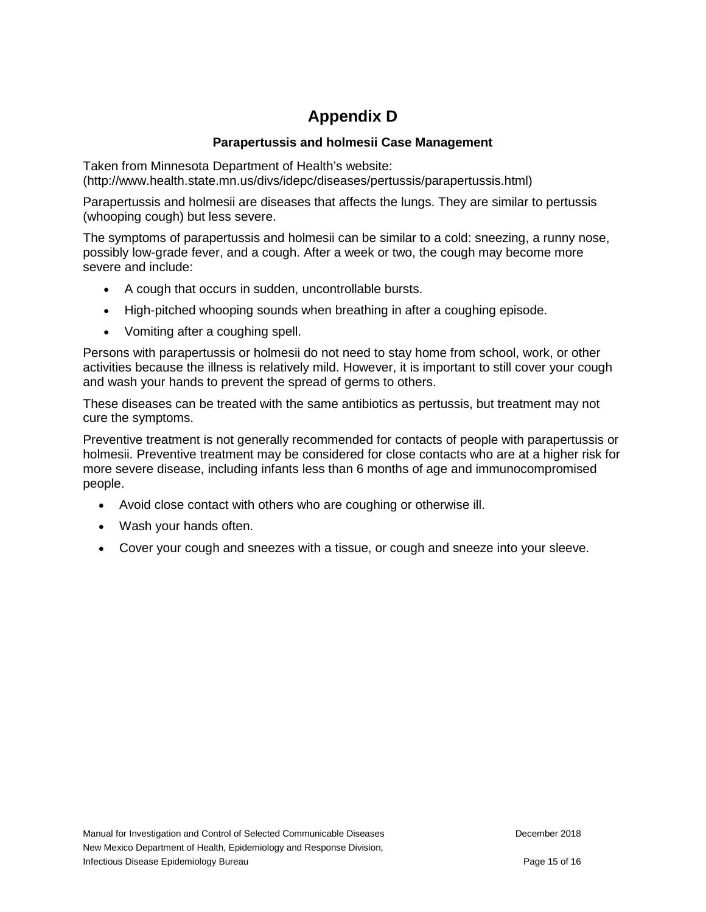# **Appendix D**

### **Parapertussis and holmesii Case Management**

Taken from Minnesota Department of Health's website: (http://www.health.state.mn.us/divs/idepc/diseases/pertussis/parapertussis.html)

Parapertussis and holmesii are diseases that affects the lungs. They are similar to pertussis (whooping cough) but less severe.

The symptoms of parapertussis and holmesii can be similar to a cold: sneezing, a runny nose, possibly low-grade fever, and a cough. After a week or two, the cough may become more severe and include:

- A cough that occurs in sudden, uncontrollable bursts.
- High-pitched whooping sounds when breathing in after a coughing episode.
- Vomiting after a coughing spell.

Persons with parapertussis or holmesii do not need to stay home from school, work, or other activities because the illness is relatively mild. However, it is important to still cover your cough and wash your hands to prevent the spread of germs to others.

These diseases can be treated with the same antibiotics as pertussis, but treatment may not cure the symptoms.

Preventive treatment is not generally recommended for contacts of people with parapertussis or holmesii. Preventive treatment may be considered for close contacts who are at a higher risk for more severe disease, including infants less than 6 months of age and immunocompromised people.

- Avoid close contact with others who are coughing or otherwise ill.
- Wash your hands often.
- Cover your cough and sneezes with a tissue, or cough and sneeze into your sleeve.